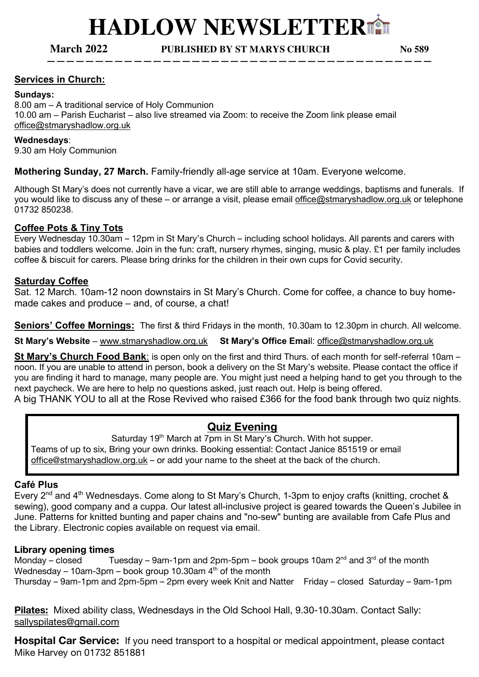**————————————————————————————————————————**

**March 2022 PUBLISHED BY ST MARYS CHURCH No 589**

# **Services in Church:**

## **Sundays:**

8.00 am – A traditional service of Holy Communion 10.00 am – Parish Eucharist – also live streamed via Zoom: to receive the Zoom link please email office@stmaryshadlow.org.uk

## **Wednesdays**:

9.30 am Holy Communion

# **Mothering Sunday, 27 March.** Family-friendly all-age service at 10am. Everyone welcome.

Although St Mary's does not currently have a vicar, we are still able to arrange weddings, baptisms and funerals. If you would like to discuss any of these – or arrange a visit, please email office@stmaryshadlow.org.uk or telephone 01732 850238.

## **Coffee Pots & Tiny Tots**

Every Wednesday 10.30am – 12pm in St Mary's Church – including school holidays. All parents and carers with babies and toddlers welcome. Join in the fun: craft, nursery rhymes, singing, music & play. £1 per family includes coffee & biscuit for carers. Please bring drinks for the children in their own cups for Covid security.

# **Saturday Coffee**

Sat. 12 March. 10am-12 noon downstairs in St Mary's Church. Come for coffee, a chance to buy homemade cakes and produce – and, of course, a chat!

**Seniors' Coffee Mornings:** The first & third Fridays in the month, 10.30am to 12.30pm in church. All welcome.

**St Mary's Website** – www.stmaryshadlow.org.uk **St Mary's Office Emai**l: office@stmaryshadlow.org.uk

**St Mary's Church Food Bank**: is open only on the first and third Thurs. of each month for self-referral 10am – noon. If you are unable to attend in person, book a delivery on the St Mary's website. Please contact the office if you are finding it hard to manage, many people are. You might just need a helping hand to get you through to the next paycheck. We are here to help no questions asked, just reach out. Help is being offered.

A big THANK YOU to all at the Rose Revived who raised £366 for the food bank through two quiz nights.

# **Quiz Evening**

Saturday 19<sup>th</sup> March at 7pm in St Mary's Church. With hot supper. Teams of up to six, Bring your own drinks. Booking essential: Contact Janice 851519 or email office@stmaryshadlow.org.uk - or add your name to the sheet at the back of the church.

## **Café Plus**

Every  $2^{nd}$  and  $4^{th}$  Wednesdays. Come along to St Mary's Church, 1-3pm to enjoy crafts (knitting, crochet & sewing), good company and a cuppa. Our latest all-inclusive project is geared towards the Queen's Jubilee in June. Patterns for knitted bunting and paper chains and "no-sew" bunting are available from Cafe Plus and the Library. Electronic copies available on request via email.

## **Library opening times**

Monday – closed Tuesday – 9am-1pm and 2pm-5pm – book groups 10am  $2^{nd}$  and  $3^{rd}$  of the month Wednesday – 10am-3pm – book group 10.30am  $4<sup>th</sup>$  of the month Thursday – 9am-1pm and 2pm-5pm – 2pm every week Knit and Natter Friday – closed Saturday – 9am-1pm

**Pilates:** Mixed ability class, Wednesdays in the Old School Hall, 9.30-10.30am. Contact Sally: sallyspilates@gmail.com

**Hospital Car Service:** If you need transport to a hospital or medical appointment, please contact Mike Harvey on 01732 851881